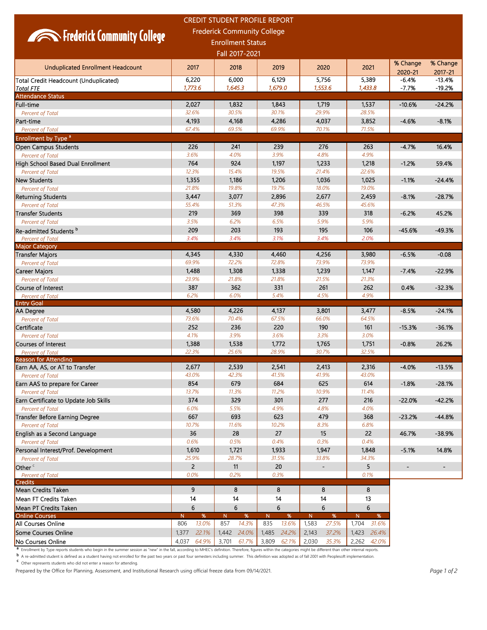|                                                                                                                                                                                                                                 |                   | <b>CREDIT STUDENT PROFILE REPORT</b> |                |                              |                |                  |                     |  |
|---------------------------------------------------------------------------------------------------------------------------------------------------------------------------------------------------------------------------------|-------------------|--------------------------------------|----------------|------------------------------|----------------|------------------|---------------------|--|
| <b>Frederick Community College</b><br><b>Experience Community College</b><br><b>Enrollment Status</b>                                                                                                                           |                   |                                      |                |                              |                |                  |                     |  |
|                                                                                                                                                                                                                                 |                   |                                      |                |                              |                |                  |                     |  |
| <b>Unduplicated Enrollment Headcount</b>                                                                                                                                                                                        | 2017              | 2018                                 | 2019           | 2020                         | 2021           | % Change         | % Change<br>2017-21 |  |
| Total Credit Headcount (Unduplicated)                                                                                                                                                                                           | 6,220             | 6,000                                | 6,129          | 5,756                        | 5,389          | 2020-21<br>-6.4% | $-13.4%$            |  |
| <b>Total FTE</b>                                                                                                                                                                                                                | 1,773.6           | 1,645.3                              | 1,679.0        | 1,553.6                      | 1,433.8        | $-7.7%$          | $-19.2%$            |  |
| <b>Attendance Status</b>                                                                                                                                                                                                        |                   |                                      |                |                              |                |                  |                     |  |
| Full-time                                                                                                                                                                                                                       | 2,027             | 1,832                                | 1,843          | 1,719                        | 1,537          | $-10.6%$         | $-24.2%$            |  |
| Percent of Total                                                                                                                                                                                                                | 32.6%             | 30.5%                                | 30.1%          | 29.9%                        | 28.5%          |                  |                     |  |
| Part-time                                                                                                                                                                                                                       | 4,193             | 4,168                                | 4,286          | 4,037                        | 3,852          | $-4.6%$          | $-8.1%$             |  |
| <b>Percent of Total</b>                                                                                                                                                                                                         | 67.4%             | 69.5%                                | 69.9%          | 70.1%                        | 71.5%          |                  |                     |  |
| Enrollment by Type <sup>a</sup><br><b>Open Campus Students</b>                                                                                                                                                                  | 226               | 241                                  | 239            | 276                          | 263            | $-4.7%$          | 16.4%               |  |
| <b>Percent of Total</b>                                                                                                                                                                                                         | 3.6%              | 4.0%                                 | 3.9%           | 4.8%                         | 4.9%           |                  |                     |  |
| High School Based Dual Enrollment                                                                                                                                                                                               | 764               | 924                                  | 1,197          | 1,233                        | 1,218          | $-1.2%$          | 59.4%               |  |
| <b>Percent of Total</b>                                                                                                                                                                                                         | 12.3%             | 15.4%                                | 19.5%          | 21.4%                        | 22.6%          |                  |                     |  |
| New Students                                                                                                                                                                                                                    | 1,355             | 1,186                                | 1,206          | 1,036                        | 1,025          | -1.1%            | $-24.4%$            |  |
| Percent of Total                                                                                                                                                                                                                | 21.8%             | 19.8%                                | 19.7%          | 18.0%                        | 19.0%          |                  |                     |  |
| <b>Returning Students</b>                                                                                                                                                                                                       | 3,447             | 3,077                                | 2,896          | 2,677                        | 2,459          | $-8.1%$          | $-28.7%$            |  |
| Percent of Total                                                                                                                                                                                                                | 55.4%             | 51.3%                                | 47.3%          | 46.5%                        | 45.6%          |                  |                     |  |
| <b>Transfer Students</b>                                                                                                                                                                                                        | 219               | 369                                  | 398            | 339                          | 318            | $-6.2%$          | 45.2%               |  |
| Percent of Total                                                                                                                                                                                                                | 3.5%<br>209       | 6.2%<br>203                          | 6.5%<br>193    | 5.9%<br>195                  | 5.9%<br>106    |                  |                     |  |
| Re-admitted Students <sup>b</sup><br><b>Percent of Total</b>                                                                                                                                                                    | 3.4%              | 3.4%                                 | 3.1%           | 3.4%                         | 2.0%           | $-45.6%$         | $-49.3%$            |  |
| <b>Major Category</b>                                                                                                                                                                                                           |                   |                                      |                |                              |                |                  |                     |  |
| Transfer Majors                                                                                                                                                                                                                 | 4,345             | 4,330                                | 4,460          | 4,256                        | 3,980          | $-6.5%$          | $-0.08$             |  |
| <b>Percent of Total</b>                                                                                                                                                                                                         | 69.9%             | 72.2%                                | 72.8%          | 73.9%                        | 73.9%          |                  |                     |  |
| Career Majors                                                                                                                                                                                                                   | 1,488             | 1,308                                | 1,338          | 1,239                        | 1,147          | $-7.4%$          | $-22.9%$            |  |
| Percent of Total                                                                                                                                                                                                                | 23.9%             | 21.8%                                | 21.8%          | 21.5%                        | 21.3%          |                  |                     |  |
| <b>Course of Interest</b>                                                                                                                                                                                                       | 387               | 362                                  | 331            | 261                          | 262            | 0.4%             | $-32.3%$            |  |
| Percent of Total<br>Entry Goal                                                                                                                                                                                                  | 6.2%              | 6.0%                                 | 5.4%           | 4.5%                         | 4.9%           |                  |                     |  |
| AA Degree                                                                                                                                                                                                                       | 4,580             | 4,226                                | 4,137          | 3,801                        | 3,477          | $-8.5%$          | $-24.1%$            |  |
| Percent of Total                                                                                                                                                                                                                | 73.6%             | 70.4%                                | 67.5%          | 66.0%                        | 64.5%          |                  |                     |  |
| Certificate                                                                                                                                                                                                                     | 252               | 236                                  | 220            | 190                          | 161            | $-15.3%$         | $-36.1%$            |  |
| Percent of Total                                                                                                                                                                                                                | 4.1%              | 3.9%                                 | 3.6%           | 3.3%                         | 3.0%           |                  |                     |  |
| <b>Courses of Interest</b>                                                                                                                                                                                                      | 1,388             | 1,538                                | 1,772          | 1,765                        | 1,751          | $-0.8%$          | 26.2%               |  |
| <b>Percent of Total</b><br><b>Reason for Attending</b>                                                                                                                                                                          | 22.3%             | 25.6%                                | 28.9%          | 30.7%                        | 32.5%          |                  |                     |  |
| Earn AA, AS, or AT to Transfer                                                                                                                                                                                                  | 2,677             | 2,539                                | 2,541          | 2,413                        | 2,316          | $-4.0%$          | -13.5%              |  |
| Percent of Total                                                                                                                                                                                                                | 43.0%             | 42.3%                                | 41.5%          | 41.9%                        | 43.0%          |                  |                     |  |
| Earn AAS to prepare for Career                                                                                                                                                                                                  | 854               | 679                                  | 684            | 625                          | 614            | $-1.8%$          | $-28.1%$            |  |
| Percent of Total                                                                                                                                                                                                                | 13.7%             | 11.3%                                | 11.2%          | 10.9%                        | 11.4%          |                  |                     |  |
| Earn Certificate to Update Job Skills                                                                                                                                                                                           | 374               | 329                                  | 301            | 277                          | 216            | $-22.0%$         | $-42.2%$            |  |
| Percent of Total                                                                                                                                                                                                                | 6.0%              | 5.5%                                 | 4.9%           | 4.8%                         | 4.0%           |                  |                     |  |
| <b>Transfer Before Earning Degree</b><br><b>Percent of Total</b>                                                                                                                                                                | 667<br>10.7%      | 693<br>11.6%                         | 623<br>10.2%   | 479<br>8.3%                  | 368<br>6.8%    | $-23.2%$         | $-44.8%$            |  |
| English as a Second Language                                                                                                                                                                                                    | 36                | 28                                   | 27             | 15                           | 22             | 46.7%            | $-38.9%$            |  |
| Percent of Total                                                                                                                                                                                                                | 0.6%              | 0.5%                                 | 0.4%           | 0.3%                         | 0.4%           |                  |                     |  |
| Personal Interest/Prof. Development                                                                                                                                                                                             | 1,610             | 1,721                                | 1,933          | 1,947                        | 1,848          | $-5.1%$          | 14.8%               |  |
| Percent of Total                                                                                                                                                                                                                | 25.9%             | 28.7%                                | 31.5%          | 33.8%                        | 34.3%          |                  |                     |  |
| Other <sup>c</sup>                                                                                                                                                                                                              | $\overline{2}$    | 11                                   | 20             | $\qquad \qquad \blacksquare$ | 5              |                  | $\blacksquare$      |  |
| <b>Percent of Total</b>                                                                                                                                                                                                         | 0.0%              | 0.2%                                 | 0.3%           |                              | 0.1%           |                  |                     |  |
| <b>Credits</b>                                                                                                                                                                                                                  | 9                 | 8                                    |                | 8                            |                |                  |                     |  |
| <b>Mean Credits Taken</b>                                                                                                                                                                                                       | 14                |                                      | 8              | 14                           | 8              |                  |                     |  |
| <b>Mean FT Credits Taken</b><br>Mean PT Credits Taken                                                                                                                                                                           | 6                 | 14<br>6                              | 14<br>6        | 6                            | 13<br>6        |                  |                     |  |
| <b>Online Courses</b>                                                                                                                                                                                                           | %<br>$\mathsf{N}$ | $\overline{N}$<br>%                  | %<br>N.        | $\overline{N}$<br>%          | N<br>%         |                  |                     |  |
| All Courses Online                                                                                                                                                                                                              | 806<br>13.0%      | 857<br>14.3%                         | 835<br>13.6%   | 1,583<br>27.5%               | 1,704 31.6%    |                  |                     |  |
| <b>Some Courses Online</b>                                                                                                                                                                                                      | 22.1%<br>1,377    | 1,442 24.0%                          | 1,485<br>24.2% | 2,143<br>37.2%               | 1,423 26.4%    |                  |                     |  |
| No Courses Online                                                                                                                                                                                                               | 64.9%<br>4,037    | 3,701<br>61.7%                       | 3,809<br>62.1% | 2,030<br>35.3%               | 2,262<br>42.0% |                  |                     |  |
| <sup>a</sup> Enrollment by Type reports students who begin in the summer session as "new" in the fall, according to MHEC's definition. Therefore, figures within the categories might be different than other internal reports. |                   |                                      |                |                              |                |                  |                     |  |

**b** A re-admitted student is defined as a student having not enrolled for the past two years or past four semesters including summer. This definition was adopted as of fall 2001 with Peoplesoft implementation.<br>C Other repr

Person the office for Planning, Assessment, and Institutional Research using official freeze data from 09/14/2021.<br> **Prepared by the Office for Planning, Assessment, and Institutional Research using official freeze data fr**